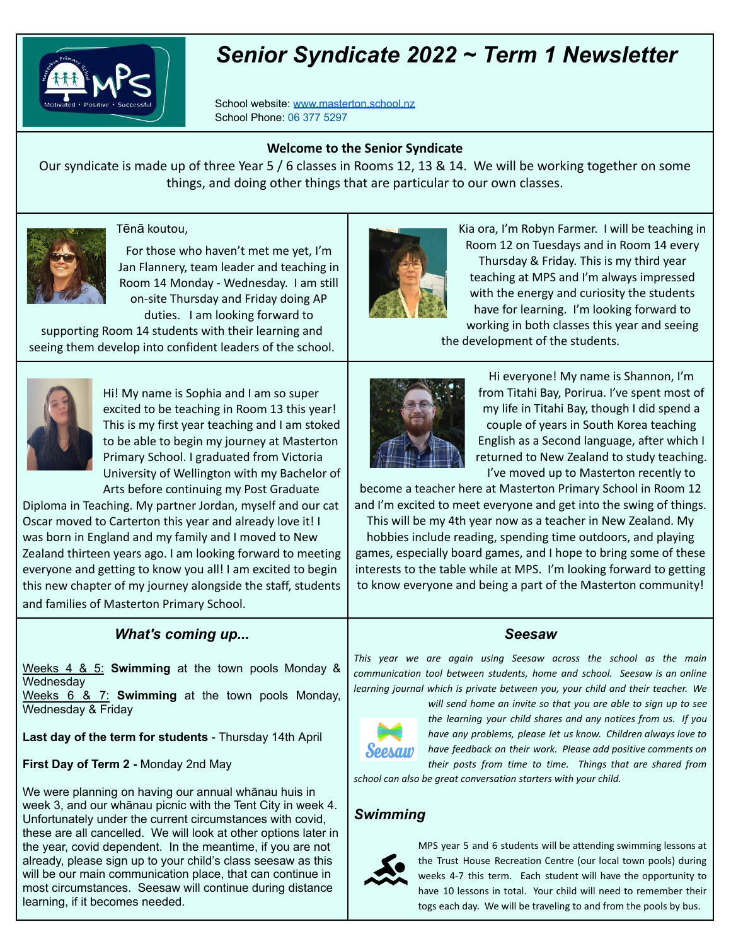

# *Senior Syndicate 2022 ~ Term 1 Newsletter*

School website: [www.masterton.school.nz](http://www.masterton.school.nz) School Phone: 06 377 5297

#### **Welcome to the Senior Syndicate**

Our syndicate is made up of three Year 5 / 6 classes in Rooms 12, 13 & 14. We will be working together on some things, and doing other things that are particular to our own classes.



#### Tēnā koutou,

For those who haven't met me yet, I'm Jan Flannery, team leader and teaching in Room 14 Monday - Wednesday. I am still on-site Thursday and Friday doing AP duties. I am looking forward to

supporting Room 14 students with their learning and seeing them develop into confident leaders of the school.



Kia ora, I'm Robyn Farmer. I will be teaching in Room 12 on Tuesdays and in Room 14 every Thursday & Friday. This is my third year teaching at MPS and I'm always impressed with the energy and curiosity the students have for learning. I'm looking forward to working in both classes this year and seeing

the development of the students.



Hi! My name is Sophia and I am so super excited to be teaching in Room 13 this year! This is my first year teaching and I am stoked to be able to begin my journey at Masterton Primary School. I graduated from Victoria University of Wellington with my Bachelor of Arts before continuing my Post Graduate

Diploma in Teaching. My partner Jordan, myself and our cat Oscar moved to Carterton this year and already love it! I was born in England and my family and I moved to New Zealand thirteen years ago. I am looking forward to meeting everyone and getting to know you all! I am excited to begin this new chapter of my journey alongside the staff, students and families of Masterton Primary School.

## *What's coming up...*

Weeks 4 & 5: **Swimming** at the town pools Monday & **Wednesday** 

Weeks 6 & 7: **Swimming** at the town pools Monday, Wednesday & Friday

**Last day of the term for students** - Thursday 14th April

**First Day of Term 2 -** Monday 2nd May

We were planning on having our annual whānau huis in week 3, and our whānau picnic with the Tent City in week 4. Unfortunately under the current circumstances with covid, these are all cancelled. We will look at other options later in the year, covid dependent. In the meantime, if you are not already, please sign up to your child's class seesaw as this will be our main communication place, that can continue in most circumstances. Seesaw will continue during distance learning, if it becomes needed.



Hi everyone! My name is Shannon, I'm from Titahi Bay, Porirua. I've spent most of my life in Titahi Bay, though I did spend a couple of years in South Korea teaching English as a Second language, after which I returned to New Zealand to study teaching. I've moved up to Masterton recently to

become a teacher here at Masterton Primary School in Room 12 and I'm excited to meet everyone and get into the swing of things. This will be my 4th year now as a teacher in New Zealand. My hobbies include reading, spending time outdoors, and playing games, especially board games, and I hope to bring some of these interests to the table while at MPS. I'm looking forward to getting

### *Seesaw*

to know everyone and being a part of the Masterton community!

*This year we are again using Seesaw across the school as the main communication tool between students, home and school. Seesaw is an online learning journal which is private between you, your child and their teacher. We*



*will send home an invite so that you are able to sign up to see the learning your child shares and any notices from us. If you have any problems, please let us know. Children always love to have feedback on their work. Please add positive comments on their posts from time to time. Things that are shared from*

*school can also be great conversation starters with your child.*

## *Swimming*



MPS year 5 and 6 students will be attending swimming lessons at the Trust House Recreation Centre (our local town pools) during weeks 4-7 this term. Each student will have the opportunity to have 10 lessons in total. Your child will need to remember their togs each day. We will be traveling to and from the pools by bus.